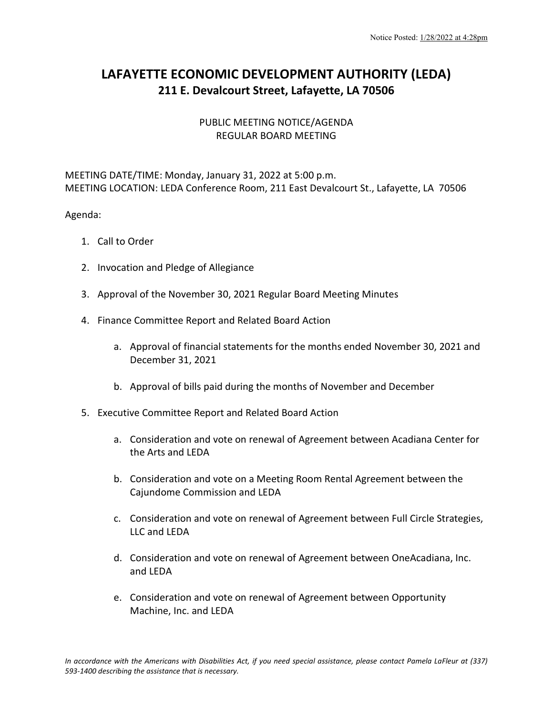## **LAFAYETTE ECONOMIC DEVELOPMENT AUTHORITY (LEDA) 211 E. Devalcourt Street, Lafayette, LA 70506**

## PUBLIC MEETING NOTICE/AGENDA REGULAR BOARD MEETING

MEETING DATE/TIME: Monday, January 31, 2022 at 5:00 p.m. MEETING LOCATION: LEDA Conference Room, 211 East Devalcourt St., Lafayette, LA 70506

Agenda:

- 1. Call to Order
- 2. Invocation and Pledge of Allegiance
- 3. Approval of the November 30, 2021 Regular Board Meeting Minutes
- 4. Finance Committee Report and Related Board Action
	- a. Approval of financial statements for the months ended November 30, 2021 and December 31, 2021
	- b. Approval of bills paid during the months of November and December
- 5. Executive Committee Report and Related Board Action
	- a. Consideration and vote on renewal of Agreement between Acadiana Center for the Arts and LEDA
	- b. Consideration and vote on a Meeting Room Rental Agreement between the Cajundome Commission and LEDA
	- c. Consideration and vote on renewal of Agreement between Full Circle Strategies, LLC and LEDA
	- d. Consideration and vote on renewal of Agreement between OneAcadiana, Inc. and LEDA
	- e. Consideration and vote on renewal of Agreement between Opportunity Machine, Inc. and LEDA